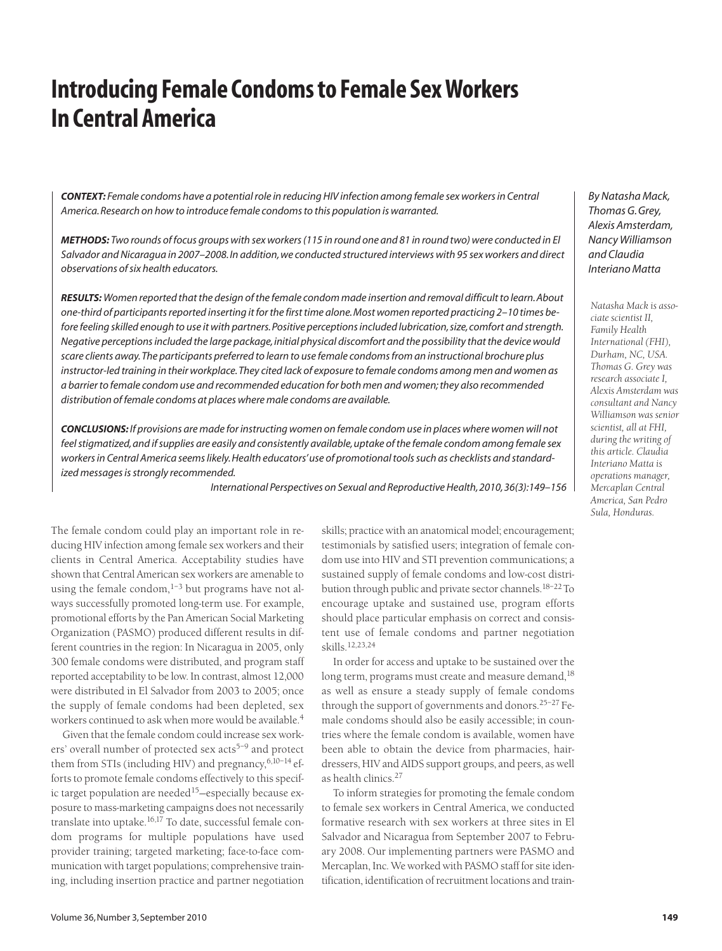# **Introducing Female Condoms to Female Sex Workers In Central America**

*CONTEXT: Female condoms have a potential role in reducing HIV infection among female sex workers in Central America. Research on how to introduce female condoms to this population is warranted.*

*METHODS: Two rounds of focus groups with sex workers (115 in round one and 81 in round two) were conducted in El Salvador and Nicaragua in 2007–2008. In addition, we conducted structured interviews with 95 sex workers and direct observations of six health educators.*

*RESULTS: Women reported that the design of the female condom made insertion and removal difficult to learn. About one-third of participants reported inserting it for the first time alone. Most women reported practicing 2–10 times before feeling skilled enough to use it with partners. Positive perceptions included lubrication, size, comfort and strength. Negative perceptions included the large package, initial physical discomfort and the possibility that the device would scare clients away. The participants preferred to learn to use female condoms from an instructional brochure plus instructor-led training in their workplace. They cited lack of exposure to female condoms among men and women as a barrier to female condom use and recommended education for both men and women; they also recommended distribution of female condoms at places where male condoms are available.*

*CONCLUSIONS: If provisions are made for instructing women on female condom use in places where women will not feel stigmatized, and if supplies are easily and consistently available, uptake of the female condom among female sex workers in Central America seems likely. Health educators' use of promotional tools such as checklists and standardized messages is strongly recommended.*

*International Perspectives on Sexual and Reproductive Health, 2010, 36(3):149–156*

The female condom could play an important role in reducing HIV infection among female sex workers and their clients in Central America. Acceptability studies have shown that Central American sex workers are amenable to using the female condom, $1-3$  but programs have not always successfully promoted long-term use. For example, promotional efforts by the Pan American Social Marketing Organization (PASMO) produced different results in different countries in the region: In Nicaragua in 2005, only 300 female condoms were distributed, and program staff reported acceptability to be low. In contrast, almost 12,000 were distributed in El Salvador from 2003 to 2005; once the supply of female condoms had been depleted, sex workers continued to ask when more would be available.<sup>4</sup>

Given that the female condom could increase sex workers' overall number of protected sex  $acts<sup>5-9</sup>$  and protect them from STIs (including HIV) and pregnancy,  $6,10-14$  efforts to promote female condoms effectively to this specific target population are needed<sup>15</sup> $-$ especially because exposure to mass-marketing campaigns does not necessarily translate into uptake.<sup>16,17</sup> To date, successful female condom programs for multiple populations have used provider training; targeted marketing; face-to-face communication with target populations; comprehensive training, including insertion practice and partner negotiation skills; practice with an anatomical model; encouragement; testimonials by satisfied users; integration of female condom use into HIV and STI prevention communications; a sustained supply of female condoms and low-cost distribution through public and private sector channels.<sup>18-22</sup>To encourage uptake and sustained use, program efforts should place particular emphasis on correct and consistent use of female condoms and partner negotiation skills.12,23,24

In order for access and uptake to be sustained over the long term, programs must create and measure demand, 18 as well as ensure a steady supply of female condoms through the support of governments and donors.<sup>25-27</sup> Female condoms should also be easily accessible; in countries where the female condom is available, women have been able to obtain the device from pharmacies, hairdressers, HIV and AIDS support groups, and peers, as well as health clinics.27

To inform strategies for promoting the female condom to female sex workers in Central America, we conducted formative research with sex workers at three sites in El Salvador and Nicaragua from September 2007 to February 2008. Our implementing partners were PASMO and Mercaplan, Inc. We worked with PASMO staff for site identification, identification of recruitment locations and train*By Natasha Mack, Thomas G. Grey, Alexis Amsterdam, Nancy Williamson and Claudia Interiano Matta*

*Natasha Mack is associate scientist II, Family Health International (FHI), Durham, NC, USA. Thomas G. Grey was research associate I, Alexis Amsterdam was consultant and Nancy Williamson was senior scientist, all at FHI, during the writing of this article. Claudia Interiano Matta is operations manager, Mercaplan Central America, San Pedro Sula, Honduras.*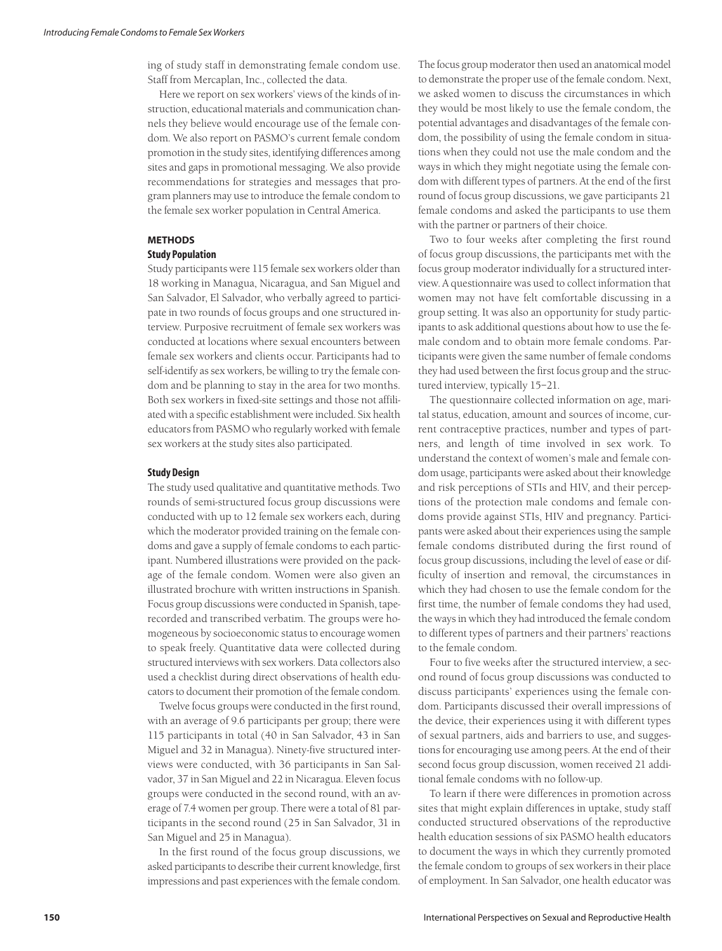ing of study staff in demonstrating female condom use. Staff from Mercaplan, Inc., collected the data.

Here we report on sex workers' views of the kinds of instruction, educational materials and communication channels they believe would encourage use of the female condom. We also report on PASMO's current female condom promotion in the study sites, identifying differences among sites and gaps in promotional messaging. We also provide recommendations for strategies and messages that program planners may use to introduce the female condom to the female sex worker population in Central America.

# **METHODS**

# **Study Population**

Study participants were 115 female sex workers older than 18 working in Managua, Nicaragua, and San Miguel and San Salvador, El Salvador, who verbally agreed to participate in two rounds of focus groups and one structured interview. Purposive recruitment of female sex workers was conducted at locations where sexual encounters between female sex workers and clients occur. Participants had to self-identify as sex workers, be willing to try the female condom and be planning to stay in the area for two months. Both sex workers in fixed-site settings and those not affiliated with a specific establishment were included. Six health educators from PASMO who regularly worked with female sex workers at the study sites also participated.

# **Study Design**

The study used qualitative and quantitative methods. Two rounds of semi-structured focus group discussions were conducted with up to 12 female sex workers each, during which the moderator provided training on the female condoms and gave a supply of female condoms to each participant. Numbered illustrations were provided on the package of the female condom. Women were also given an illustrated brochure with written instructions in Spanish. Focus group discussions were conducted in Spanish, taperecorded and transcribed verbatim. The groups were homogeneous by socioeconomic status to encourage women to speak freely. Quantitative data were collected during structured interviews with sex workers. Data collectors also used a checklist during direct observations of health educators to document their promotion of the female condom.

Twelve focus groups were conducted in the first round, with an average of 9.6 participants per group; there were 115 participants in total (40 in San Salvador, 43 in San Miguel and 32 in Managua). Ninety-five structured interviews were conducted, with 36 participants in San Salvador, 37 in San Miguel and 22 in Nicaragua. Eleven focus groups were conducted in the second round, with an average of 7.4 women per group. There were a total of 81 participants in the second round (25 in San Salvador, 31 in San Miguel and 25 in Managua).

In the first round of the focus group discussions, we asked participants to describe their current knowledge, first impressions and past experiences with the female condom.

The focus group moderator then used an anatomical model to demonstrate the proper use of the female condom. Next, we asked women to discuss the circumstances in which they would be most likely to use the female condom, the potential advantages and disadvantages of the female condom, the possibility of using the female condom in situations when they could not use the male condom and the ways in which they might negotiate using the female condom with different types of partners. At the end of the first round of focus group discussions, we gave participants 21 female condoms and asked the participants to use them with the partner or partners of their choice.

Two to four weeks after completing the first round of focus group discussions, the participants met with the focus group moderator individually for a structured interview. A questionnaire was used to collect information that women may not have felt comfortable discussing in a group setting. It was also an opportunity for study participants to ask additional questions about how to use the female condom and to obtain more female condoms. Participants were given the same number of female condoms they had used between the first focus group and the structured interview, typically 15–21.

The questionnaire collected information on age, marital status, education, amount and sources of income, current contraceptive practices, number and types of partners, and length of time involved in sex work. To understand the context of women's male and female condom usage, participants were asked about their knowledge and risk perceptions of STIs and HIV, and their perceptions of the protection male condoms and female condoms provide against STIs, HIV and pregnancy. Participants were asked about their experiences using the sample female condoms distributed during the first round of focus group discussions, including the level of ease or difficulty of insertion and removal, the circumstances in which they had chosen to use the female condom for the first time, the number of female condoms they had used, the ways in which they had introduced the female condom to different types of partners and their partners' reactions to the female condom.

Four to five weeks after the structured interview, a second round of focus group discussions was conducted to discuss participants' experiences using the female condom. Participants discussed their overall impressions of the device, their experiences using it with different types of sexual partners, aids and barriers to use, and suggestions for encouraging use among peers. At the end of their second focus group discussion, women received 21 additional female condoms with no follow-up.

To learn if there were differences in promotion across sites that might explain differences in uptake, study staff conducted structured observations of the reproductive health education sessions of six PASMO health educators to document the ways in which they currently promoted the female condom to groups of sex workers in their place of employment. In San Salvador, one health educator was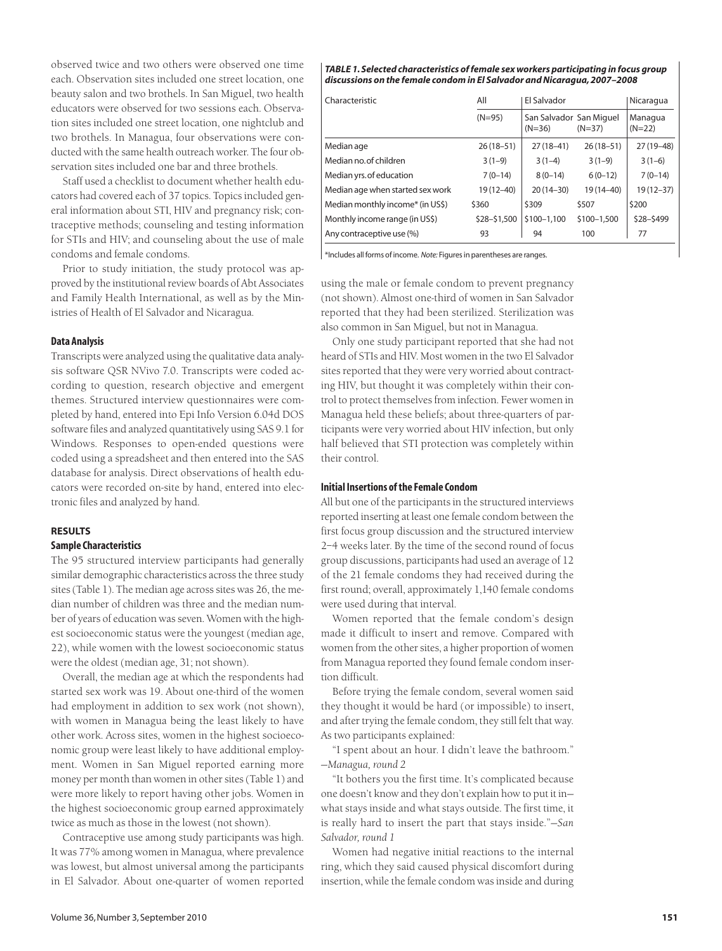observed twice and two others were observed one time each. Observation sites included one street location, one beauty salon and two brothels. In San Miguel, two health educators were observed for two sessions each. Observation sites included one street location, one nightclub and two brothels. In Managua, four observations were conducted with the same health outreach worker. The four observation sites included one bar and three brothels.

Staff used a checklist to document whether health educators had covered each of 37 topics. Topics included general information about STI, HIV and pregnancy risk; contraceptive methods; counseling and testing information for STIs and HIV; and counseling about the use of male condoms and female condoms.

Prior to study initiation, the study protocol was approved by the institutional review boards of Abt Associates and Family Health International, as well as by the Ministries of Health of El Salvador and Nicaragua.

# **Data Analysis**

Transcripts were analyzed using the qualitative data analysis software QSR NVivo 7.0. Transcripts were coded according to question, research objective and emergent themes. Structured interview questionnaires were completed by hand, entered into Epi Info Version 6.04d DOS software files and analyzed quantitatively using SAS 9.1 for Windows. Responses to open-ended questions were coded using a spreadsheet and then entered into the SAS database for analysis. Direct observations of health educators were recorded on-site by hand, entered into electronic files and analyzed by hand.

# **RESULTS**

# **Sample Characteristics**

The 95 structured interview participants had generally similar demographic characteristics across the three study sites (Table 1). The median age across sites was 26, the median number of children was three and the median number of years of education was seven. Women with the highest socioeconomic status were the youngest (median age, 22), while women with the lowest socioeconomic status were the oldest (median age, 31; not shown).

Overall, the median age at which the respondents had started sex work was 19. About one-third of the women had employment in addition to sex work (not shown), with women in Managua being the least likely to have other work. Across sites, women in the highest socioeconomic group were least likely to have additional employment. Women in San Miguel reported earning more money per month than women in other sites (Table 1) and were more likely to report having other jobs. Women in the highest socioeconomic group earned approximately twice as much as those in the lowest (not shown).

Contraceptive use among study participants was high. It was 77% among women in Managua, where prevalence was lowest, but almost universal among the participants in El Salvador. About one-quarter of women reported

#### *TABLE 1. Selected characteristics of female sex workers participating in focus group discussions on the female condom in El Salvador and Nicaragua, 2007–2008*

| Characteristic                   | All           | El Salvador                         |               |                     |
|----------------------------------|---------------|-------------------------------------|---------------|---------------------|
|                                  | $(N=95)$      | San Salvador San Miguel<br>$(N=36)$ | $(N=37)$      | Managua<br>$(N=22)$ |
| Median age                       | $26(18-51)$   | $27(18-41)$                         | $26(18-51)$   | $27(19-48)$         |
| Median no. of children           | $3(1-9)$      | $3(1-4)$                            | $3(1-9)$      | $3(1-6)$            |
| Median yrs. of education         | $7(0-14)$     | $8(0-14)$                           | $6(0-12)$     | $7(0-14)$           |
| Median age when started sex work | $19(12 - 40)$ | $20(14-30)$                         | $19(14 - 40)$ | $19(12 - 37)$       |
| Median monthly income* (in US\$) | \$360         | \$309                               | \$507         | \$200               |
| Monthly income range (in US\$)   | \$28-\$1,500  | \$100-1,100                         | \$100-1,500   | \$28-\$499          |
| Any contraceptive use (%)        | 93            | 94                                  | 100           | 77                  |

\*Includes all forms of income. *Note:* Figures in parentheses are ranges.

using the male or female condom to prevent pregnancy (not shown). Almost one-third of women in San Salvador reported that they had been sterilized. Sterilization was also common in San Miguel, but not in Managua.

Only one study participant reported that she had not heard of STIs and HIV. Most women in the two El Salvador sites reported that they were very worried about contracting HIV, but thought it was completely within their control to protect themselves from infection. Fewer women in Managua held these beliefs; about three-quarters of participants were very worried about HIV infection, but only half believed that STI protection was completely within their control.

# **Initial Insertions of the Female Condom**

All but one of the participants in the structured interviews reported inserting at least one female condom between the first focus group discussion and the structured interview 2–4 weeks later. By the time of the second round of focus group discussions, participants had used an average of 12 of the 21 female condoms they had received during the first round; overall, approximately 1,140 female condoms were used during that interval.

Women reported that the female condom's design made it difficult to insert and remove. Compared with women from the other sites, a higher proportion of women from Managua reported they found female condom insertion difficult.

Before trying the female condom, several women said they thought it would be hard (or impossible) to insert, and after trying the female condom, they still felt that way. As two participants explained:

"I spent about an hour. I didn't leave the bathroom." —*Managua, round 2*

"It bothers you the first time. It's complicated because one doesn't know and they don't explain how to put it in what stays inside and what stays outside. The first time, it is really hard to insert the part that stays inside."—*San Salvador, round 1*

Women had negative initial reactions to the internal ring, which they said caused physical discomfort during insertion, while the female condom was inside and during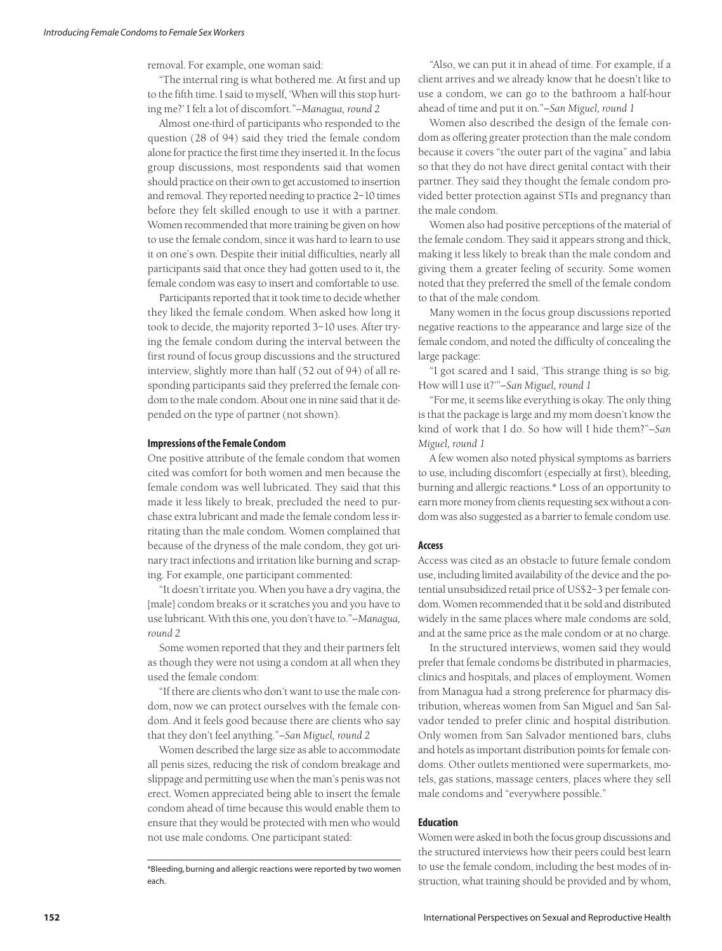removal. For example, one woman said:

"The internal ring is what bothered me. At first and up to the fifth time. I said to myself, 'When will this stop hurting me?' I felt a lot of discomfort."*—Managua, round 2*

Almost one-third of participants who responded to the question (28 of 94) said they tried the female condom alone for practice the first time they inserted it. In the focus group discussions, most respondents said that women should practice on their own to get accustomed to insertion and removal. They reported needing to practice 2–10 times before they felt skilled enough to use it with a partner. Women recommended that more training be given on how to use the female condom, since it was hard to learn to use it on one's own. Despite their initial difficulties, nearly all participants said that once they had gotten used to it, the female condom was easy to insert and comfortable to use.

Participants reported that it took time to decide whether they liked the female condom. When asked how long it took to decide, the majority reported 3–10 uses. After trying the female condom during the interval between the first round of focus group discussions and the structured interview, slightly more than half (52 out of 94) of all responding participants said they preferred the female condom to the male condom. About one in nine said that it depended on the type of partner (not shown).

#### **Impressions of the Female Condom**

One positive attribute of the female condom that women cited was comfort for both women and men because the female condom was well lubricated. They said that this made it less likely to break, precluded the need to purchase extra lubricant and made the female condom less irritating than the male condom. Women complained that because of the dryness of the male condom, they got urinary tract infections and irritation like burning and scraping. For example, one participant commented:

"It doesn't irritate you. When you have a dry vagina, the [male] condom breaks or it scratches you and you have to use lubricant. With this one, you don't have to."*—Managua, round 2*

Some women reported that they and their partners felt as though they were not using a condom at all when they used the female condom:

"If there are clients who don't want to use the male condom, now we can protect ourselves with the female condom. And it feels good because there are clients who say that they don't feel anything."*—San Miguel, round 2*

Women described the large size as able to accommodate all penis sizes, reducing the risk of condom breakage and slippage and permitting use when the man's penis was not erect. Women appreciated being able to insert the female condom ahead of time because this would enable them to ensure that they would be protected with men who would not use male condoms. One participant stated:

\*Bleeding, burning and allergic reactions were reported by two women each.

"Also, we can put it in ahead of time. For example, if a client arrives and we already know that he doesn't like to use a condom, we can go to the bathroom a half-hour ahead of time and put it on."*—San Miguel, round 1*

Women also described the design of the female condom as offering greater protection than the male condom because it covers "the outer part of the vagina" and labia so that they do not have direct genital contact with their partner. They said they thought the female condom provided better protection against STIs and pregnancy than the male condom.

Women also had positive perceptions of the material of the female condom. They said it appears strong and thick, making it less likely to break than the male condom and giving them a greater feeling of security. Some women noted that they preferred the smell of the female condom to that of the male condom.

Many women in the focus group discussions reported negative reactions to the appearance and large size of the female condom, and noted the difficulty of concealing the large package:

"I got scared and I said, 'This strange thing is so big. How will I use it?'"*—San Miguel, round 1*

"For me, it seems like everything is okay. The only thing is that the package is large and my mom doesn't know the kind of work that I do. So how will I hide them?"*—San Miguel, round 1*

A few women also noted physical symptoms as barriers to use, including discomfort (especially at first), bleeding, burning and allergic reactions.\* Loss of an opportunity to earn more money from clients requesting sex without a condom was also suggested as a barrier to female condom use.

### **Access**

Access was cited as an obstacle to future female condom use, including limited availability of the device and the potential unsubsidized retail price of US\$2–3 per female condom. Women recommended that it be sold and distributed widely in the same places where male condoms are sold, and at the same price as the male condom or at no charge.

In the structured interviews, women said they would prefer that female condoms be distributed in pharmacies, clinics and hospitals, and places of employment. Women from Managua had a strong preference for pharmacy distribution, whereas women from San Miguel and San Salvador tended to prefer clinic and hospital distribution. Only women from San Salvador mentioned bars, clubs and hotels as important distribution points for female condoms. Other outlets mentioned were supermarkets, motels, gas stations, massage centers, places where they sell male condoms and "everywhere possible."

# **Education**

Women were asked in both the focus group discussions and the structured interviews how their peers could best learn to use the female condom, including the best modes of instruction, what training should be provided and by whom,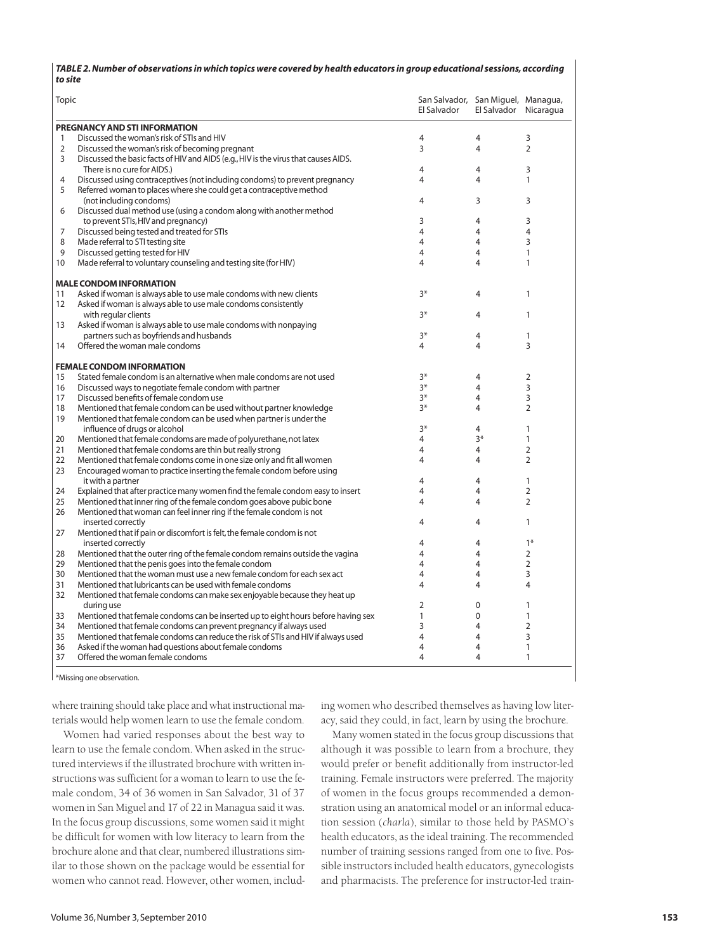#### *TABLE 2. Number of observations in which topics were covered by health educators in group educational sessions, according to site*

| Topic |                                                                                     | San Salvador, San Miguel, Managua,<br>El Salvador | El Salvador Nicaragua |                |
|-------|-------------------------------------------------------------------------------------|---------------------------------------------------|-----------------------|----------------|
|       | PREGNANCY AND STI INFORMATION                                                       |                                                   |                       |                |
| 1     | Discussed the woman's risk of STIs and HIV                                          | 4                                                 | 4                     | 3              |
| 2     | Discussed the woman's risk of becoming pregnant                                     | 3                                                 | 4                     | $\overline{2}$ |
| 3     | Discussed the basic facts of HIV and AIDS (e.g., HIV is the virus that causes AIDS. |                                                   |                       |                |
|       | There is no cure for AIDS.)                                                         | 4                                                 | 4                     | 3              |
| 4     | Discussed using contraceptives (not including condoms) to prevent pregnancy         | 4                                                 | 4                     | 1              |
| 5     | Referred woman to places where she could get a contraceptive method                 |                                                   |                       |                |
|       | (not including condoms)                                                             | 4                                                 | 3                     | 3              |
| 6     | Discussed dual method use (using a condom along with another method                 |                                                   |                       |                |
|       | to prevent STIs, HIV and pregnancy)                                                 | 3                                                 | 4                     | 3              |
| 7     | Discussed being tested and treated for STIs                                         | 4                                                 | 4                     | 4              |
| 8     | Made referral to STI testing site                                                   | 4                                                 | 4                     | 3              |
| 9     | Discussed getting tested for HIV                                                    | 4                                                 | 4                     | $\mathbf{1}$   |
| 10    | Made referral to voluntary counseling and testing site (for HIV)                    | 4                                                 | 4                     | 1              |
|       |                                                                                     |                                                   |                       |                |
|       | <b>MALE CONDOM INFORMATION</b>                                                      |                                                   |                       |                |
| 11    | Asked if woman is always able to use male condoms with new clients                  | $3*$                                              | 4                     | 1              |
| 12    | Asked if woman is always able to use male condoms consistently                      |                                                   |                       |                |
|       | with regular clients                                                                | $3*$                                              | 4                     | 1              |
| 13    | Asked if woman is always able to use male condoms with nonpaying                    |                                                   |                       |                |
|       | partners such as boyfriends and husbands                                            | $3*$                                              | 4                     | 1              |
| 14    | Offered the woman male condoms                                                      | 4                                                 | 4                     | 3              |
|       | <b>FEMALE CONDOM INFORMATION</b>                                                    |                                                   |                       |                |
| 15    | Stated female condom is an alternative when male condoms are not used               | $3*$                                              | 4                     | $\overline{2}$ |
| 16    | Discussed ways to negotiate female condom with partner                              | $3*$                                              | 4                     | 3              |
| 17    | Discussed benefits of female condom use                                             | $3*$                                              | 4                     | 3              |
| 18    | Mentioned that female condom can be used without partner knowledge                  | $3*$                                              | 4                     | $\overline{2}$ |
| 19    | Mentioned that female condom can be used when partner is under the                  |                                                   |                       |                |
|       | influence of drugs or alcohol                                                       | $3*$                                              | 4                     | 1              |
| 20    | Mentioned that female condoms are made of polyurethane, not latex                   | 4                                                 | $3*$                  | $\mathbf{1}$   |
| 21    | Mentioned that female condoms are thin but really strong                            | 4                                                 | 4                     | $\overline{2}$ |
| 22    | Mentioned that female condoms come in one size only and fit all women               | 4                                                 | 4                     | $\overline{2}$ |
| 23    | Encouraged woman to practice inserting the female condom before using               |                                                   |                       |                |
|       | it with a partner                                                                   | 4                                                 | 4                     | $\mathbf{1}$   |
| 24    | Explained that after practice many women find the female condom easy to insert      | 4                                                 | 4                     | $\overline{2}$ |
| 25    | Mentioned that inner ring of the female condom goes above pubic bone                | 4                                                 | 4                     | $\overline{2}$ |
| 26    | Mentioned that woman can feel inner ring if the female condom is not                |                                                   |                       |                |
|       | inserted correctly                                                                  | 4                                                 | 4                     | $\mathbf{1}$   |
| 27    | Mentioned that if pain or discomfort is felt, the female condom is not              |                                                   |                       |                |
|       | inserted correctly                                                                  | 4                                                 | 4                     | $1*$           |
| 28    | Mentioned that the outer ring of the female condom remains outside the vagina       | 4                                                 | 4                     | $\overline{2}$ |
| 29    | Mentioned that the penis goes into the female condom                                | 4                                                 | 4                     | $\overline{2}$ |
| 30    | Mentioned that the woman must use a new female condom for each sex act              | 4                                                 | 4                     | 3              |
| 31    | Mentioned that lubricants can be used with female condoms                           | 4                                                 | 4                     | 4              |
| 32    | Mentioned that female condoms can make sex enjoyable because they heat up           |                                                   |                       |                |
|       | during use                                                                          | 2                                                 | $\Omega$              | $\mathbf{1}$   |
| 33    | Mentioned that female condoms can be inserted up to eight hours before having sex   | 1                                                 | $\Omega$              | $\mathbf{1}$   |
| 34    | Mentioned that female condoms can prevent pregnancy if always used                  | 3                                                 | 4                     | $\overline{2}$ |
| 35    | Mentioned that female condoms can reduce the risk of STIs and HIV if always used    | 4                                                 | 4                     | 3              |
| 36    | Asked if the woman had questions about female condoms                               | 4                                                 | 4                     | $\mathbf{1}$   |
| 37    | Offered the woman female condoms                                                    | 4                                                 | 4                     | $\mathbf{1}$   |
|       |                                                                                     |                                                   |                       |                |

\*Missing one observation.

where training should take place and what instructional materials would help women learn to use the female condom.

Women had varied responses about the best way to learn to use the female condom. When asked in the structured interviews if the illustrated brochure with written instructions was sufficient for a woman to learn to use the female condom, 34 of 36 women in San Salvador, 31 of 37 women in San Miguel and 17 of 22 in Managua said it was. In the focus group discussions, some women said it might be difficult for women with low literacy to learn from the brochure alone and that clear, numbered illustrations similar to those shown on the package would be essential for women who cannot read. However, other women, including women who described themselves as having low literacy, said they could, in fact, learn by using the brochure.

Many women stated in the focus group discussions that although it was possible to learn from a brochure, they would prefer or benefit additionally from instructor-led training. Female instructors were preferred. The majority of women in the focus groups recommended a demonstration using an anatomical model or an informal education session (*charla*), similar to those held by PASMO's health educators, as the ideal training. The recommended number of training sessions ranged from one to five. Possible instructors included health educators, gynecologists and pharmacists. The preference for instructor-led train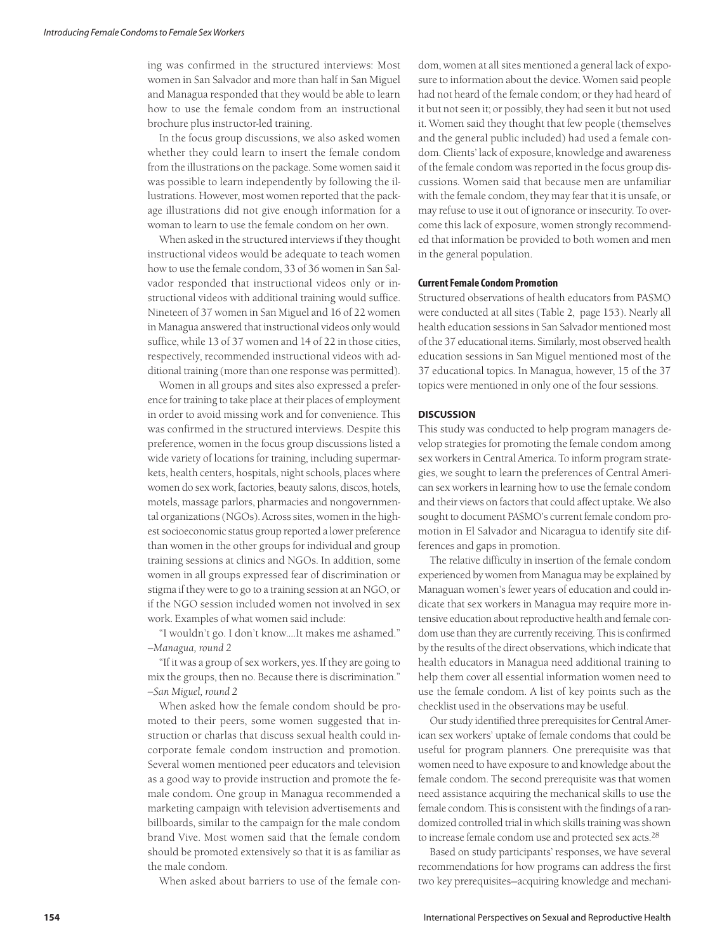ing was confirmed in the structured interviews: Most women in San Salvador and more than half in San Miguel and Managua responded that they would be able to learn how to use the female condom from an instructional brochure plus instructor-led training.

In the focus group discussions, we also asked women whether they could learn to insert the female condom from the illustrations on the package. Some women said it was possible to learn independently by following the illustrations. However, most women reported that the package illustrations did not give enough information for a woman to learn to use the female condom on her own.

When asked in the structured interviews if they thought instructional videos would be adequate to teach women how to use the female condom, 33 of 36 women in San Salvador responded that instructional videos only or instructional videos with additional training would suffice. Nineteen of 37 women in San Miguel and 16 of 22 women in Managua answered that instructional videos only would suffice, while 13 of 37 women and 14 of 22 in those cities, respectively, recommended instructional videos with additional training (more than one response was permitted).

Women in all groups and sites also expressed a preference for training to take place at their places of employment in order to avoid missing work and for convenience. This was confirmed in the structured interviews. Despite this preference, women in the focus group discussions listed a wide variety of locations for training, including supermarkets, health centers, hospitals, night schools, places where women do sex work, factories, beauty salons, discos, hotels, motels, massage parlors, pharmacies and nongovernmental organizations (NGOs). Across sites, women in the highest socioeconomic status group reported a lower preference than women in the other groups for individual and group training sessions at clinics and NGOs. In addition, some women in all groups expressed fear of discrimination or stigma if they were to go to a training session at an NGO, or if the NGO session included women not involved in sex work. Examples of what women said include:

"I wouldn't go. I don't know.…It makes me ashamed." *—Managua, round 2*

"If it was a group of sex workers, yes. If they are going to mix the groups, then no. Because there is discrimination." *—San Miguel, round 2*

When asked how the female condom should be promoted to their peers, some women suggested that instruction or charlas that discuss sexual health could incorporate female condom instruction and promotion. Several women mentioned peer educators and television as a good way to provide instruction and promote the female condom. One group in Managua recommended a marketing campaign with television advertisements and billboards, similar to the campaign for the male condom brand Vive. Most women said that the female condom should be promoted extensively so that it is as familiar as the male condom.

When asked about barriers to use of the female con-

dom, women at all sites mentioned a general lack of exposure to information about the device. Women said people had not heard of the female condom; or they had heard of it but not seen it; or possibly, they had seen it but not used it. Women said they thought that few people (themselves and the general public included) had used a female condom. Clients' lack of exposure, knowledge and awareness of the female condom was reported in the focus group discussions. Women said that because men are unfamiliar with the female condom, they may fear that it is unsafe, or may refuse to use it out of ignorance or insecurity. To overcome this lack of exposure, women strongly recommended that information be provided to both women and men in the general population.

# **Current Female Condom Promotion**

Structured observations of health educators from PASMO were conducted at all sites (Table 2, page 153). Nearly all health education sessions in San Salvador mentioned most of the 37 educational items. Similarly, most observed health education sessions in San Miguel mentioned most of the 37 educational topics. In Managua, however, 15 of the 37 topics were mentioned in only one of the four sessions.

# **DISCUSSION**

This study was conducted to help program managers develop strategies for promoting the female condom among sex workers in Central America. To inform program strategies, we sought to learn the preferences of Central American sex workers in learning how to use the female condom and their views on factors that could affect uptake. We also sought to document PASMO's current female condom promotion in El Salvador and Nicaragua to identify site differences and gaps in promotion.

The relative difficulty in insertion of the female condom experienced by women from Managua may be explained by Managuan women's fewer years of education and could indicate that sex workers in Managua may require more intensive education about reproductive health and female condom use than they are currently receiving. This is confirmed by the results of the direct observations, which indicate that health educators in Managua need additional training to help them cover all essential information women need to use the female condom. A list of key points such as the checklist used in the observations may be useful.

Our study identified three prerequisites for Central American sex workers' uptake of female condoms that could be useful for program planners. One prerequisite was that women need to have exposure to and knowledge about the female condom. The second prerequisite was that women need assistance acquiring the mechanical skills to use the female condom. This is consistent with the findings of a randomized controlled trial in which skills training was shown to increase female condom use and protected sex acts.28

Based on study participants' responses, we have several recommendations for how programs can address the first two key prerequisites—acquiring knowledge and mechani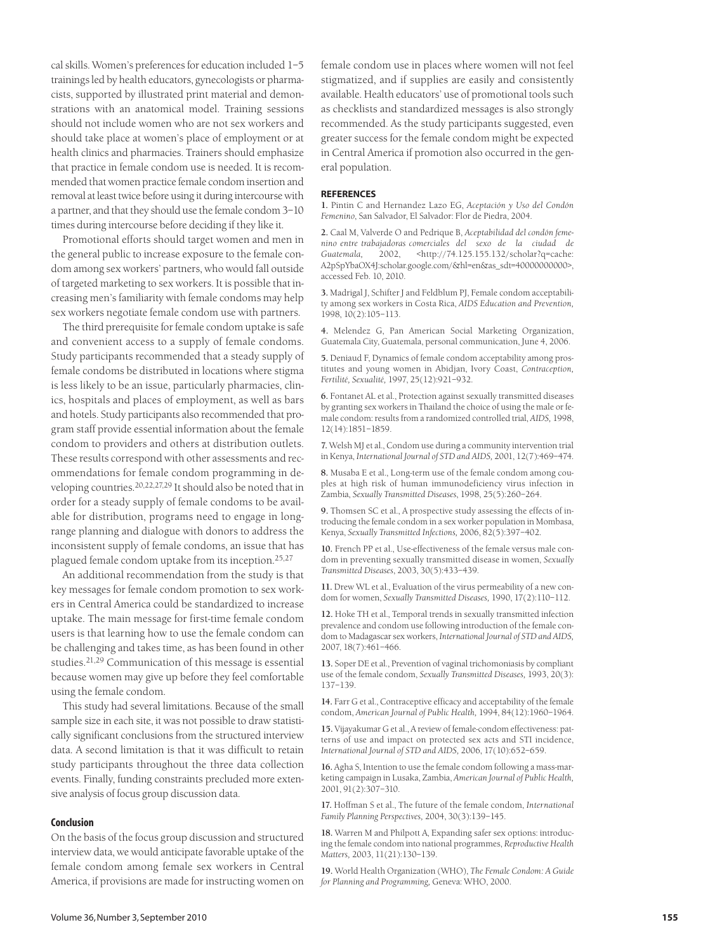cal skills. Women's preferences for education included 1–5 trainings led by health educators, gynecologists or pharmacists, supported by illustrated print material and demonstrations with an anatomical model. Training sessions should not include women who are not sex workers and should take place at women's place of employment or at health clinics and pharmacies. Trainers should emphasize that practice in female condom use is needed. It is recommended that women practice female condom insertion and removal at least twice before using it during intercourse with a partner, and that they should use the female condom 3–10 times during intercourse before deciding if they like it.

Promotional efforts should target women and men in the general public to increase exposure to the female condom among sex workers' partners, who would fall outside of targeted marketing to sex workers. It is possible that increasing men's familiarity with female condoms may help sex workers negotiate female condom use with partners.

The third prerequisite for female condom uptake is safe and convenient access to a supply of female condoms. Study participants recommended that a steady supply of female condoms be distributed in locations where stigma is less likely to be an issue, particularly pharmacies, clinics, hospitals and places of employment, as well as bars and hotels. Study participants also recommended that program staff provide essential information about the female condom to providers and others at distribution outlets. These results correspond with other assessments and recommendations for female condom programming in developing countries.20,22,27,29 It should also be noted that in order for a steady supply of female condoms to be available for distribution, programs need to engage in longrange planning and dialogue with donors to address the inconsistent supply of female condoms, an issue that has plagued female condom uptake from its inception.25,27

An additional recommendation from the study is that key messages for female condom promotion to sex workers in Central America could be standardized to increase uptake. The main message for first-time female condom users is that learning how to use the female condom can be challenging and takes time, as has been found in other studies.21,29 Communication of this message is essential because women may give up before they feel comfortable using the female condom.

This study had several limitations. Because of the small sample size in each site, it was not possible to draw statistically significant conclusions from the structured interview data. A second limitation is that it was difficult to retain study participants throughout the three data collection events. Finally, funding constraints precluded more extensive analysis of focus group discussion data.

# **Conclusion**

On the basis of the focus group discussion and structured interview data, we would anticipate favorable uptake of the female condom among female sex workers in Central America, if provisions are made for instructing women on

female condom use in places where women will not feel stigmatized, and if supplies are easily and consistently available. Health educators' use of promotional tools such as checklists and standardized messages is also strongly recommended. As the study participants suggested, even greater success for the female condom might be expected in Central America if promotion also occurred in the general population.

#### **REFERENCES**

**1.** Pintin C and Hernandez Lazo EG, *Aceptación y Uso del Condón Femenino*, San Salvador, El Salvador: Flor de Piedra, 2004.

**2.** Caal M, Valverde O and Pedrique B, *Aceptabilidad del condón femenino entre trabajadoras comerciales del sexo de la ciudad de Guatemala,* 2002, <http://74.125.155.132/scholar?q=cache: A2pSpYbaOX4J:scholar.google.com/&hl=en&as\_sdt=40000000000>, accessed Feb. 10, 2010.

**3.** Madrigal J, Schifter J and Feldblum PJ, Female condom acceptability among sex workers in Costa Rica, *AIDS Education and Prevention,* 1998, 10(2):105–113.

**4.** Melendez G, Pan American Social Marketing Organization, Guatemala City, Guatemala, personal communication, June 4, 2006.

**5.** Deniaud F, Dynamics of female condom acceptability among prostitutes and young women in Abidjan, Ivory Coast, *Contraception, Fertilité, Sexualité,* 1997, 25(12):921–932.

**6.** Fontanet AL et al., Protection against sexually transmitted diseases by granting sex workers in Thailand the choice of using the male or female condom: results from a randomized controlled trial, *AIDS,* 1998, 12(14):1851–1859.

**7.** Welsh MJ et al., Condom use during a community intervention trial in Kenya, *International Journal of STD and AIDS,* 2001, 12(7):469–474.

**8.** Musaba E et al., Long-term use of the female condom among couples at high risk of human immunodeficiency virus infection in Zambia, *Sexually Transmitted Diseases*, 1998, 25(5):260–264.

**9.** Thomsen SC et al., A prospective study assessing the effects of introducing the female condom in a sex worker population in Mombasa, Kenya, *Sexually Transmitted Infections,* 2006, 82(5):397–402.

**10.** French PP et al., Use-effectiveness of the female versus male condom in preventing sexually transmitted disease in women, *Sexually Transmitted Diseases*, 2003, 30(5):433–439.

**11.** Drew WL et al., Evaluation of the virus permeability of a new condom for women, *Sexually Transmitted Diseases,* 1990, 17(2):110–112.

**12.** Hoke TH et al., Temporal trends in sexually transmitted infection prevalence and condom use following introduction of the female condom to Madagascar sex workers, *International Journal of STD and AIDS,* 2007, 18(7):461–466.

**13.** Soper DE et al., Prevention of vaginal trichomoniasis by compliant use of the female condom, *Sexually Transmitted Diseases,* 1993, 20(3): 137–139.

**14.** Farr G et al., Contraceptive efficacy and acceptability of the female condom, *American Journal of Public Health,* 1994, 84(12):1960–1964.

**15.** Vijayakumar G et al., A review of female-condom effectiveness: patterns of use and impact on protected sex acts and STI incidence, *International Journal of STD and AIDS,* 2006, 17(10):652–659.

**16.** Agha S, Intention to use the female condom following a mass-marketing campaign in Lusaka, Zambia, *American Journal of Public Health,* 2001, 91(2):307–310.

**17.** Hoffman S et al., The future of the female condom, *International Family Planning Perspectives,* 2004, 30(3):139–145.

**18.** Warren M and Philpott A, Expanding safer sex options: introducing the female condom into national programmes, *Reproductive Health Matters,* 2003, 11(21):130–139.

**19.** World Health Organization (WHO), *The Female Condom: A Guide for Planning and Programming,* Geneva: WHO, 2000.